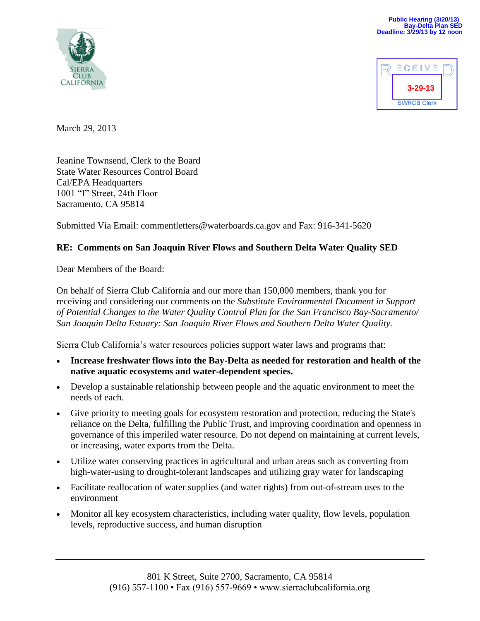



March 29, 2013

Jeanine Townsend, Clerk to the Board State Water Resources Control Board Cal/EPA Headquarters 1001 "I" Street, 24th Floor Sacramento, CA 95814

Submitted Via Email: commentletters@waterboards.ca.gov and Fax: 916-341-5620

# **RE: Comments on San Joaquin River Flows and Southern Delta Water Quality SED**

Dear Members of the Board:

On behalf of Sierra Club California and our more than 150,000 members, thank you for receiving and considering our comments on the *Substitute Environmental Document in Support of Potential Changes to the Water Quality Control Plan for the San Francisco Bay-Sacramento/ San Joaquin Delta Estuary: San Joaquin River Flows and Southern Delta Water Quality.*

Sierra Club California's water resources policies support water laws and programs that:

- **Increase freshwater flows into the Bay-Delta as needed for restoration and health of the native aquatic ecosystems and water-dependent species.**
- Develop a sustainable relationship between people and the aquatic environment to meet the needs of each.
- Give priority to meeting goals for ecosystem restoration and protection, reducing the State's reliance on the Delta, fulfilling the Public Trust, and improving coordination and openness in governance of this imperiled water resource. Do not depend on maintaining at current levels, or increasing, water exports from the Delta.
- Utilize water conserving practices in agricultural and urban areas such as converting from high-water-using to drought-tolerant landscapes and utilizing gray water for landscaping
- Facilitate reallocation of water supplies (and water rights) from out-of-stream uses to the environment
- Monitor all key ecosystem characteristics, including water quality, flow levels, population levels, reproductive success, and human disruption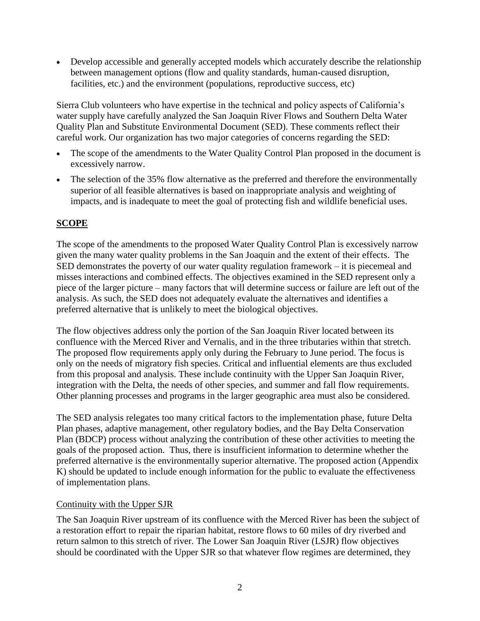Develop accessible and generally accepted models which accurately describe the relationship between management options (flow and quality standards, human-caused disruption, facilities, etc.) and the environment (populations, reproductive success, etc)

Sierra Club volunteers who have expertise in the technical and policy aspects of California's water supply have carefully analyzed the San Joaquin River Flows and Southern Delta Water Quality Plan and Substitute Environmental Document (SED). These comments reflect their careful work. Our organization has two major categories of concerns regarding the SED:

- The scope of the amendments to the Water Quality Control Plan proposed in the document is excessively narrow.
- The selection of the 35% flow alternative as the preferred and therefore the environmentally superior of all feasible alternatives is based on inappropriate analysis and weighting of impacts, and is inadequate to meet the goal of protecting fish and wildlife beneficial uses.

# **SCOPE**

The scope of the amendments to the proposed Water Quality Control Plan is excessively narrow given the many water quality problems in the San Joaquin and the extent of their effects. The SED demonstrates the poverty of our water quality regulation framework – it is piecemeal and misses interactions and combined effects. The objectives examined in the SED represent only a piece of the larger picture – many factors that will determine success or failure are left out of the analysis. As such, the SED does not adequately evaluate the alternatives and identifies a preferred alternative that is unlikely to meet the biological objectives.

The flow objectives address only the portion of the San Joaquin River located between its confluence with the Merced River and Vernalis, and in the three tributaries within that stretch. The proposed flow requirements apply only during the February to June period. The focus is only on the needs of migratory fish species. Critical and influential elements are thus excluded from this proposal and analysis. These include continuity with the Upper San Joaquin River, integration with the Delta, the needs of other species, and summer and fall flow requirements. Other planning processes and programs in the larger geographic area must also be considered.

The SED analysis relegates too many critical factors to the implementation phase, future Delta Plan phases, adaptive management, other regulatory bodies, and the Bay Delta Conservation Plan (BDCP) process without analyzing the contribution of these other activities to meeting the goals of the proposed action. Thus, there is insufficient information to determine whether the preferred alternative is the environmentally superior alternative. The proposed action (Appendix K) should be updated to include enough information for the public to evaluate the effectiveness of implementation plans.

# Continuity with the Upper SJR

The San Joaquin River upstream of its confluence with the Merced River has been the subject of a restoration effort to repair the riparian habitat, restore flows to 60 miles of dry riverbed and return salmon to this stretch of river. The Lower San Joaquin River (LSJR) flow objectives should be coordinated with the Upper SJR so that whatever flow regimes are determined, they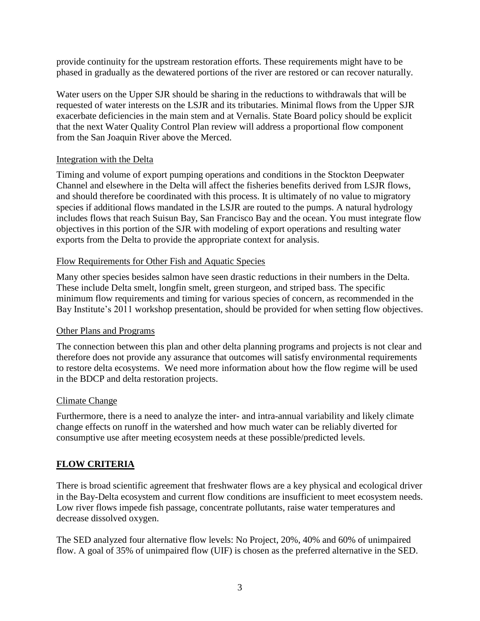provide continuity for the upstream restoration efforts. These requirements might have to be phased in gradually as the dewatered portions of the river are restored or can recover naturally.

Water users on the Upper SJR should be sharing in the reductions to withdrawals that will be requested of water interests on the LSJR and its tributaries. Minimal flows from the Upper SJR exacerbate deficiencies in the main stem and at Vernalis. State Board policy should be explicit that the next Water Quality Control Plan review will address a proportional flow component from the San Joaquin River above the Merced.

### Integration with the Delta

Timing and volume of export pumping operations and conditions in the Stockton Deepwater Channel and elsewhere in the Delta will affect the fisheries benefits derived from LSJR flows, and should therefore be coordinated with this process. It is ultimately of no value to migratory species if additional flows mandated in the LSJR are routed to the pumps. A natural hydrology includes flows that reach Suisun Bay, San Francisco Bay and the ocean. You must integrate flow objectives in this portion of the SJR with modeling of export operations and resulting water exports from the Delta to provide the appropriate context for analysis.

### Flow Requirements for Other Fish and Aquatic Species

Many other species besides salmon have seen drastic reductions in their numbers in the Delta. These include Delta smelt, longfin smelt, green sturgeon, and striped bass. The specific minimum flow requirements and timing for various species of concern, as recommended in the Bay Institute's 2011 workshop presentation, should be provided for when setting flow objectives.

### Other Plans and Programs

The connection between this plan and other delta planning programs and projects is not clear and therefore does not provide any assurance that outcomes will satisfy environmental requirements to restore delta ecosystems. We need more information about how the flow regime will be used in the BDCP and delta restoration projects.

### Climate Change

Furthermore, there is a need to analyze the inter- and intra-annual variability and likely climate change effects on runoff in the watershed and how much water can be reliably diverted for consumptive use after meeting ecosystem needs at these possible/predicted levels.

# **FLOW CRITERIA**

There is broad scientific agreement that freshwater flows are a key physical and ecological driver in the Bay-Delta ecosystem and current flow conditions are insufficient to meet ecosystem needs. Low river flows impede fish passage, concentrate pollutants, raise water temperatures and decrease dissolved oxygen.

The SED analyzed four alternative flow levels: No Project, 20%, 40% and 60% of unimpaired flow. A goal of 35% of unimpaired flow (UIF) is chosen as the preferred alternative in the SED.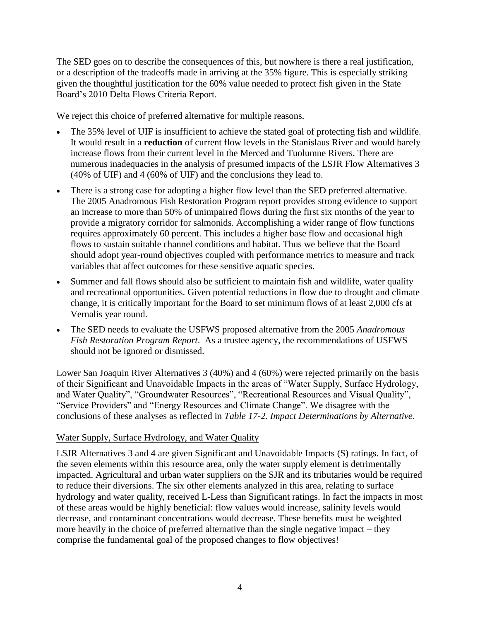The SED goes on to describe the consequences of this, but nowhere is there a real justification, or a description of the tradeoffs made in arriving at the 35% figure. This is especially striking given the thoughtful justification for the 60% value needed to protect fish given in the State Board's 2010 Delta Flows Criteria Report.

We reject this choice of preferred alternative for multiple reasons.

- The 35% level of UIF is insufficient to achieve the stated goal of protecting fish and wildlife. It would result in a **reduction** of current flow levels in the Stanislaus River and would barely increase flows from their current level in the Merced and Tuolumne Rivers. There are numerous inadequacies in the analysis of presumed impacts of the LSJR Flow Alternatives 3 (40% of UIF) and 4 (60% of UIF) and the conclusions they lead to.
- There is a strong case for adopting a higher flow level than the SED preferred alternative. The 2005 Anadromous Fish Restoration Program report provides strong evidence to support an increase to more than 50% of unimpaired flows during the first six months of the year to provide a migratory corridor for salmonids. Accomplishing a wider range of flow functions requires approximately 60 percent. This includes a higher base flow and occasional high flows to sustain suitable channel conditions and habitat. Thus we believe that the Board should adopt year-round objectives coupled with performance metrics to measure and track variables that affect outcomes for these sensitive aquatic species.
- Summer and fall flows should also be sufficient to maintain fish and wildlife, water quality and recreational opportunities. Given potential reductions in flow due to drought and climate change, it is critically important for the Board to set minimum flows of at least 2,000 cfs at Vernalis year round.
- The SED needs to evaluate the USFWS proposed alternative from the 2005 *Anadromous Fish Restoration Program Report*. As a trustee agency, the recommendations of USFWS should not be ignored or dismissed.

Lower San Joaquin River Alternatives 3 (40%) and 4 (60%) were rejected primarily on the basis of their Significant and Unavoidable Impacts in the areas of "Water Supply, Surface Hydrology, and Water Quality", "Groundwater Resources", "Recreational Resources and Visual Quality", "Service Providers" and "Energy Resources and Climate Change". We disagree with the conclusions of these analyses as reflected in *Table 17-2. Impact Determinations by Alternative*.

# Water Supply, Surface Hydrology, and Water Quality

LSJR Alternatives 3 and 4 are given Significant and Unavoidable Impacts (S) ratings. In fact, of the seven elements within this resource area, only the water supply element is detrimentally impacted. Agricultural and urban water suppliers on the SJR and its tributaries would be required to reduce their diversions. The six other elements analyzed in this area, relating to surface hydrology and water quality, received L-Less than Significant ratings. In fact the impacts in most of these areas would be highly beneficial: flow values would increase, salinity levels would decrease, and contaminant concentrations would decrease. These benefits must be weighted more heavily in the choice of preferred alternative than the single negative impact – they comprise the fundamental goal of the proposed changes to flow objectives!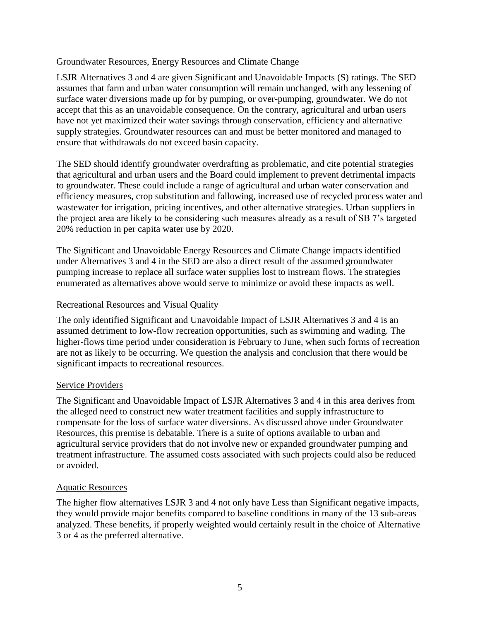### Groundwater Resources, Energy Resources and Climate Change

LSJR Alternatives 3 and 4 are given Significant and Unavoidable Impacts (S) ratings. The SED assumes that farm and urban water consumption will remain unchanged, with any lessening of surface water diversions made up for by pumping, or over-pumping, groundwater. We do not accept that this as an unavoidable consequence. On the contrary, agricultural and urban users have not yet maximized their water savings through conservation, efficiency and alternative supply strategies. Groundwater resources can and must be better monitored and managed to ensure that withdrawals do not exceed basin capacity.

The SED should identify groundwater overdrafting as problematic, and cite potential strategies that agricultural and urban users and the Board could implement to prevent detrimental impacts to groundwater. These could include a range of agricultural and urban water conservation and efficiency measures, crop substitution and fallowing, increased use of recycled process water and wastewater for irrigation, pricing incentives, and other alternative strategies. Urban suppliers in the project area are likely to be considering such measures already as a result of SB 7's targeted 20% reduction in per capita water use by 2020.

The Significant and Unavoidable Energy Resources and Climate Change impacts identified under Alternatives 3 and 4 in the SED are also a direct result of the assumed groundwater pumping increase to replace all surface water supplies lost to instream flows. The strategies enumerated as alternatives above would serve to minimize or avoid these impacts as well.

### Recreational Resources and Visual Quality

The only identified Significant and Unavoidable Impact of LSJR Alternatives 3 and 4 is an assumed detriment to low-flow recreation opportunities, such as swimming and wading. The higher-flows time period under consideration is February to June, when such forms of recreation are not as likely to be occurring. We question the analysis and conclusion that there would be significant impacts to recreational resources.

### Service Providers

The Significant and Unavoidable Impact of LSJR Alternatives 3 and 4 in this area derives from the alleged need to construct new water treatment facilities and supply infrastructure to compensate for the loss of surface water diversions. As discussed above under Groundwater Resources, this premise is debatable. There is a suite of options available to urban and agricultural service providers that do not involve new or expanded groundwater pumping and treatment infrastructure. The assumed costs associated with such projects could also be reduced or avoided.

### Aquatic Resources

The higher flow alternatives LSJR 3 and 4 not only have Less than Significant negative impacts, they would provide major benefits compared to baseline conditions in many of the 13 sub-areas analyzed. These benefits, if properly weighted would certainly result in the choice of Alternative 3 or 4 as the preferred alternative.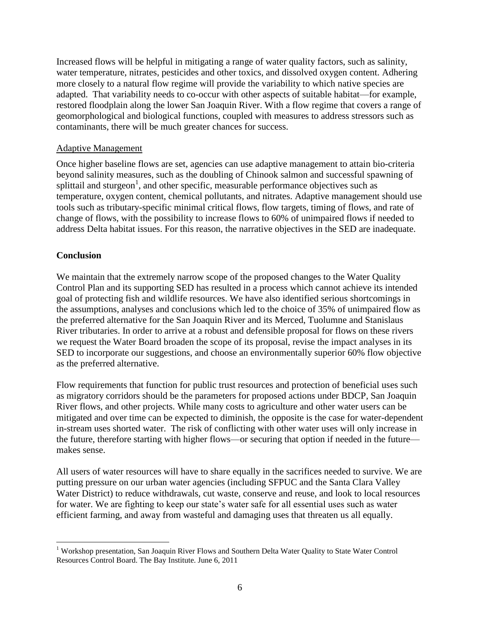Increased flows will be helpful in mitigating a range of water quality factors, such as salinity, water temperature, nitrates, pesticides and other toxics, and dissolved oxygen content. Adhering more closely to a natural flow regime will provide the variability to which native species are adapted. That variability needs to co-occur with other aspects of suitable habitat—for example, restored floodplain along the lower San Joaquin River. With a flow regime that covers a range of geomorphological and biological functions, coupled with measures to address stressors such as contaminants, there will be much greater chances for success.

### Adaptive Management

Once higher baseline flows are set, agencies can use adaptive management to attain bio-criteria beyond salinity measures, such as the doubling of Chinook salmon and successful spawning of splittail and sturgeon<sup>1</sup>, and other specific, measurable performance objectives such as temperature, oxygen content, chemical pollutants, and nitrates. Adaptive management should use tools such as tributary-specific minimal critical flows, flow targets, timing of flows, and rate of change of flows, with the possibility to increase flows to 60% of unimpaired flows if needed to address Delta habitat issues. For this reason, the narrative objectives in the SED are inadequate.

# **Conclusion**

We maintain that the extremely narrow scope of the proposed changes to the Water Quality Control Plan and its supporting SED has resulted in a process which cannot achieve its intended goal of protecting fish and wildlife resources. We have also identified serious shortcomings in the assumptions, analyses and conclusions which led to the choice of 35% of unimpaired flow as the preferred alternative for the San Joaquin River and its Merced, Tuolumne and Stanislaus River tributaries. In order to arrive at a robust and defensible proposal for flows on these rivers we request the Water Board broaden the scope of its proposal, revise the impact analyses in its SED to incorporate our suggestions, and choose an environmentally superior 60% flow objective as the preferred alternative.

Flow requirements that function for public trust resources and protection of beneficial uses such as migratory corridors should be the parameters for proposed actions under BDCP, San Joaquin River flows, and other projects. While many costs to agriculture and other water users can be mitigated and over time can be expected to diminish, the opposite is the case for water-dependent in-stream uses shorted water. The risk of conflicting with other water uses will only increase in the future, therefore starting with higher flows—or securing that option if needed in the future makes sense.

All users of water resources will have to share equally in the sacrifices needed to survive. We are putting pressure on our urban water agencies (including SFPUC and the Santa Clara Valley Water District) to reduce withdrawals, cut waste, conserve and reuse, and look to local resources for water. We are fighting to keep our state's water safe for all essential uses such as water efficient farming, and away from wasteful and damaging uses that threaten us all equally.

 $\overline{a}$ <sup>1</sup> Workshop presentation, San Joaquin River Flows and Southern Delta Water Quality to State Water Control Resources Control Board. The Bay Institute. June 6, 2011